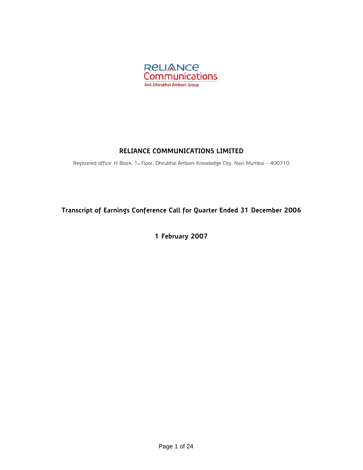

# **RELIANCE COMMUNICATIONS LIMITED**

Registered office: H Block, 1st Floor, Dhirubhai Ambani Knowledge City, Navi Mumbai - 400710

# **Transcript of Earnings Conference Call for Quarter Ended 31 December 2006**

**1 February 2007**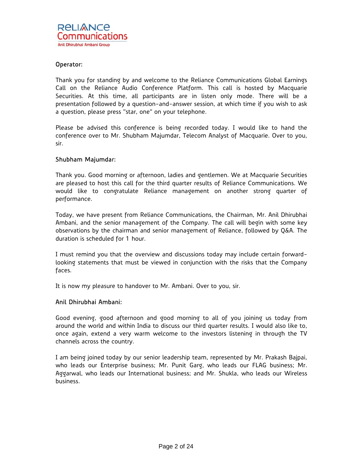Thank you for standing by and welcome to the Reliance Communications Global Earnings Call on the Reliance Audio Conference Platform. This call is hosted by Macquarie Securities. At this time, all participants are in listen only mode. There will be a presentation followed by a question-and-answer session, at which time if you wish to ask a question, please press "star, one" on your telephone.

Please be advised this conference is being recorded today. I would like to hand the conference over to Mr. Shubham Majumdar, Telecom Analyst of Macquarie. Over to you, sir.

# Shubham Majumdar:

Thank you. Good morning or afternoon, ladies and gentlemen. We at Macquarie Securities are pleased to host this call for the third quarter results of Reliance Communications. We would like to congratulate Reliance management on another strong quarter of performance.

Today, we have present from Reliance Communications, the Chairman, Mr. Anil Dhirubhai Ambani, and the senior management of the Company. The call will begin with some key observations by the chairman and senior management of Reliance, followed by Q&A. The duration is scheduled for 1 hour.

I must remind you that the overview and discussions today may include certain forwardlooking statements that must be viewed in conjunction with the risks that the Company faces.

It is now my pleasure to handover to Mr. Ambani. Over to you, sir.

# Anil Dhirubhai Ambani:

Good evening, good afternoon and good morning to all of you joining us today from around the world and within India to discuss our third quarter results. I would also like to, once again, extend a very warm welcome to the investors listening in through the TV channels across the country.

I am being joined today by our senior leadership team, represented by Mr. Prakash Bajpai, who leads our Enterprise business; Mr. Punit Garg, who leads our FLAG business; Mr. Aggarwal, who leads our International business; and Mr. Shukla, who leads our Wireless business.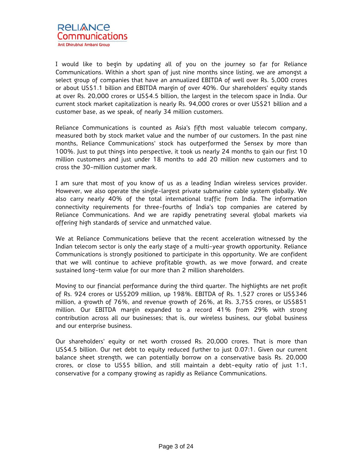

I would like to begin by updating all of you on the journey so far for Reliance Communications. Within a short span of just nine months since listing, we are amongst a select group of companies that have an annualized EBITDA of well over Rs. 5,000 crores or about US\$1.1 billion and EBITDA margin of over 40%. Our shareholders' equity stands at over Rs. 20,000 crores or US\$4.5 billion, the largest in the telecom space in India. Our current stock market capitalization is nearly Rs. 94,000 crores or over US\$21 billion and a customer base, as we speak, of nearly 34 million customers.

Reliance Communications is counted as Asia's fifth most valuable telecom company, measured both by stock market value and the number of our customers. In the past nine months, Reliance Communications' stock has outperformed the Sensex by more than 100%. Just to put things into perspective, it took us nearly 24 months to gain our first 10 million customers and just under 18 months to add 20 million new customers and to cross the 30-million customer mark.

I am sure that most of you know of us as a leading Indian wireless services provider. However, we also operate the single-largest private submarine cable system globally. We also carry nearly 40% of the total international traffic from India. The information connectivity requirements for three-fourths of India's top companies are catered by Reliance Communications. And we are rapidly penetrating several global markets via offering high standards of service and unmatched value.

We at Reliance Communications believe that the recent acceleration witnessed by the Indian telecom sector is only the early stage of a multi-year growth opportunity. Reliance Communications is strongly positioned to participate in this opportunity. We are confident that we will continue to achieve profitable growth, as we move forward, and create sustained long-term value for our more than 2 million shareholders.

Moving to our financial performance during the third quarter. The highlights are net profit of Rs. 924 crores or US\$209 million, up 198%. EBITDA of Rs. 1,527 crores or US\$346 million, a growth of 76%, and revenue growth of 26%, at Rs. 3,755 crores, or US\$851 million. Our EBITDA margin expanded to a record 41% from 29% with strong contribution across all our businesses; that is, our wireless business, our global business and our enterprise business.

Our shareholders' equity or net worth crossed Rs. 20,000 crores. That is more than US\$4.5 billion. Our net debt to equity reduced further to just 0.07:1. Given our current balance sheet strength, we can potentially borrow on a conservative basis Rs. 20,000 crores, or close to US\$5 billion, and still maintain a debt-equity ratio of just 1:1, conservative for a company growing as rapidly as Reliance Communications.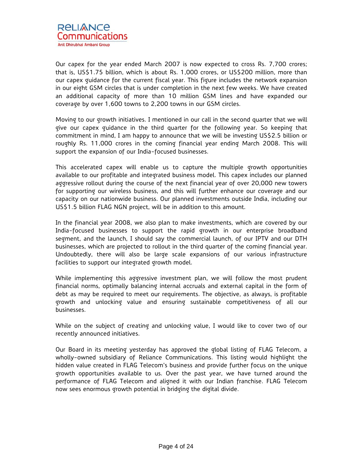

Our capex for the year ended March 2007 is now expected to cross Rs. 7,700 crores; that is, US\$1.75 billion, which is about Rs. 1,000 crores, or US\$200 million, more than our capex guidance for the current fiscal year. This figure includes the network expansion in our eight GSM circles that is under completion in the next few weeks. We have created an additional capacity of more than 10 million GSM lines and have expanded our coverage by over 1,600 towns to 2,200 towns in our GSM circles.

Moving to our growth initiatives. I mentioned in our call in the second quarter that we will give our capex guidance in the third quarter for the following year. So keeping that commitment in mind, I am happy to announce that we will be investing US\$2.5 billion or roughly Rs. 11,000 crores in the coming financial year ending March 2008. This will support the expansion of our India-focused businesses.

This accelerated capex will enable us to capture the multiple growth opportunities available to our profitable and integrated business model. This capex includes our planned aggressive rollout during the course of the next financial year of over 20,000 new towers for supporting our wireless business, and this will further enhance our coverage and our capacity on our nationwide business. Our planned investments outside India, including our US\$1.5 billion FLAG NGN project, will be in addition to this amount.

In the financial year 2008, we also plan to make investments, which are covered by our India-focused businesses to support the rapid growth in our enterprise broadband segment, and the launch, I should say the commercial launch, of our IPTV and our DTH businesses, which are projected to rollout in the third quarter of the coming financial year. Undoubtedly, there will also be large scale expansions of our various infrastructure facilities to support our integrated growth model.

While implementing this aggressive investment plan, we will follow the most prudent financial norms, optimally balancing internal accruals and external capital in the form of debt as may be required to meet our requirements. The objective, as always, is profitable growth and unlocking value and ensuring sustainable competitiveness of all our businesses.

While on the subject of creating and unlocking value, I would like to cover two of our recently announced initiatives.

Our Board in its meeting yesterday has approved the global listing of FLAG Telecom, a wholly-owned subsidiary of Reliance Communications. This listing would highlight the hidden value created in FLAG Telecom's business and provide further focus on the unique growth opportunities available to us. Over the past year, we have turned around the performance of FLAG Telecom and aligned it with our Indian franchise. FLAG Telecom now sees enormous growth potential in bridging the digital divide.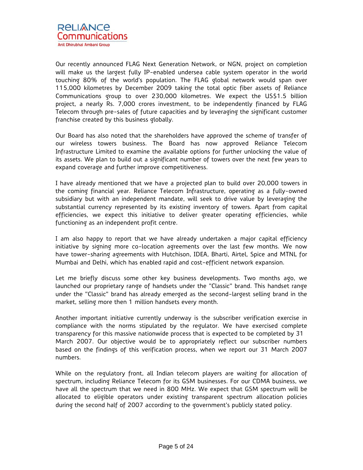Our recently announced FLAG Next Generation Network, or NGN, project on completion will make us the largest fully IP-enabled undersea cable system operator in the world touching 80% of the world's population. The FLAG global network would span over 115,000 kilometres by December 2009 taking the total optic fiber assets of Reliance Communications group to over 230,000 kilometres. We expect the US\$1.5 billion project, a nearly Rs. 7,000 crores investment, to be independently financed by FLAG Telecom through pre-sales of future capacities and by leveraging the significant customer franchise created by this business globally.

Our Board has also noted that the shareholders have approved the scheme of transfer of our wireless towers business. The Board has now approved Reliance Telecom Infrastructure Limited to examine the available options for further unlocking the value of its assets. We plan to build out a significant number of towers over the next few years to expand coverage and further improve competitiveness.

I have already mentioned that we have a projected plan to build over 20,000 towers in the coming financial year. Reliance Telecom Infrastructure, operating as a fully-owned subsidiary but with an independent mandate, will seek to drive value by leveraging the substantial currency represented by its existing inventory of towers. Apart from capital efficiencies, we expect this initiative to deliver greater operating efficiencies, while functioning as an independent profit centre.

I am also happy to report that we have already undertaken a major capital efficiency initiative by signing more co-location agreements over the last few months. We now have tower-sharing agreements with Hutchison, IDEA, Bharti, Airtel, Spice and MTNL for Mumbai and Delhi, which has enabled rapid and cost-efficient network expansion.

Let me briefly discuss some other key business developments. Two months ago, we launched our proprietary range of handsets under the "Classic" brand. This handset range under the "Classic" brand has already emerged as the second-largest selling brand in the market, selling more then 1 million handsets every month.

Another important initiative currently underway is the subscriber verification exercise in compliance with the norms stipulated by the regulator. We have exercised complete transparency for this massive nationwide process that is expected to be completed by 31 March 2007. Our objective would be to appropriately reflect our subscriber numbers based on the findings of this verification process, when we report our 31 March 2007 numbers.

While on the regulatory front, all Indian telecom players are waiting for allocation of spectrum, including Reliance Telecom for its GSM businesses. For our CDMA business, we have all the spectrum that we need in 800 MHz. We expect that GSM spectrum will be allocated to eligible operators under existing transparent spectrum allocation policies during the second half of 2007 according to the government's publicly stated policy.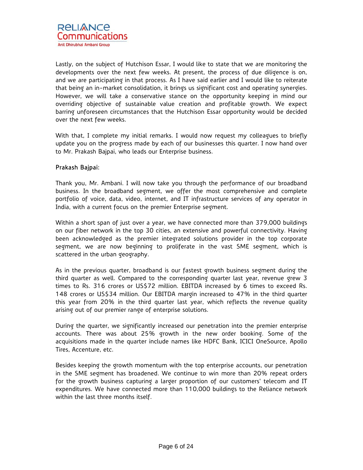Lastly, on the subject of Hutchison Essar, I would like to state that we are monitoring the developments over the next few weeks. At present, the process of due diligence is on, and we are participating in that process. As I have said earlier and I would like to reiterate that being an in-market consolidation, it brings us significant cost and operating synergies. However, we will take a conservative stance on the opportunity keeping in mind our overriding objective of sustainable value creation and profitable growth. We expect barring unforeseen circumstances that the Hutchison Essar opportunity would be decided over the next few weeks.

With that, I complete my initial remarks. I would now request my colleagues to briefly update you on the progress made by each of our businesses this quarter. I now hand over to Mr. Prakash Bajpai, who leads our Enterprise business.

# Prakash Bajpai:

Thank you, Mr. Ambani. I will now take you through the performance of our broadband business. In the broadband segment, we offer the most comprehensive and complete portfolio of voice, data, video, internet, and IT infrastructure services of any operator in India, with a current focus on the premier Enterprise segment.

Within a short span of just over a year, we have connected more than 379,000 buildings on our fiber network in the top 30 cities, an extensive and powerful connectivity. Having been acknowledged as the premier integrated solutions provider in the top corporate segment, we are now beginning to proliferate in the vast SME segment, which is scattered in the urban geography.

As in the previous quarter, broadband is our fastest growth business segment during the third quarter as well. Compared to the corresponding quarter last year, revenue grew 3 times to Rs. 316 crores or US\$72 million. EBITDA increased by 6 times to exceed Rs. 148 crores or US\$34 million. Our EBITDA margin increased to 47% in the third quarter this year from 20% in the third quarter last year, which reflects the revenue quality arising out of our premier range of enterprise solutions.

During the quarter, we significantly increased our penetration into the premier enterprise accounts. There was about 25% growth in the new order booking. Some of the acquisitions made in the quarter include names like HDFC Bank, ICICI OneSource, Apollo Tires, Accenture, etc.

Besides keeping the growth momentum with the top enterprise accounts, our penetration in the SME segment has broadened. We continue to win more than 20% repeat orders for the growth business capturing a larger proportion of our customers' telecom and IT expenditures. We have connected more than 110,000 buildings to the Reliance network within the last three months itself.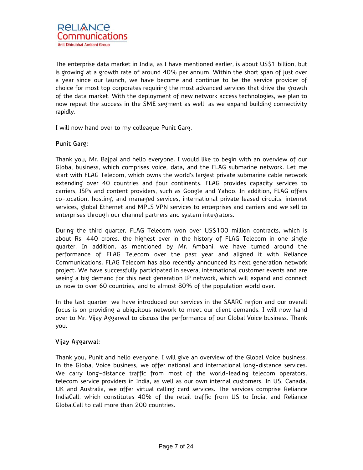The enterprise data market in India, as I have mentioned earlier, is about US\$1 billion, but is growing at a growth rate of around 40% per annum. Within the short span of just over a year since our launch, we have become and continue to be the service provider of choice for most top corporates requiring the most advanced services that drive the growth of the data market. With the deployment of new network access technologies, we plan to now repeat the success in the SME segment as well, as we expand building connectivity rapidly.

I will now hand over to my colleague Punit Garg.

# Punit Garg:

Thank you, Mr. Bajpai and hello everyone. I would like to begin with an overview of our Global business, which comprises voice, data, and the FLAG submarine network. Let me start with FLAG Telecom, which owns the world's largest private submarine cable network extending over 40 countries and four continents. FLAG provides capacity services to carriers, ISPs and content providers, such as Google and Yahoo. In addition, FLAG offers co-location, hosting, and managed services, international private leased circuits, internet services, global Ethernet and MPLS VPN services to enterprises and carriers and we sell to enterprises through our channel partners and system integrators.

During the third quarter, FLAG Telecom won over US\$100 million contracts, which is about Rs. 440 crores, the highest ever in the history of FLAG Telecom in one single quarter. In addition, as mentioned by Mr. Ambani, we have turned around the performance of FLAG Telecom over the past year and aligned it with Reliance Communications. FLAG Telecom has also recently announced its next generation network project. We have successfully participated in several international customer events and are seeing a big demand for this next generation IP network, which will expand and connect us now to over 60 countries, and to almost 80% of the population world over.

In the last quarter, we have introduced our services in the SAARC region and our overall focus is on providing a ubiquitous network to meet our client demands. I will now hand over to Mr. Vijay Aggarwal to discuss the performance of our Global Voice business. Thank you.

# Vijay Aggarwal:

Thank you, Punit and hello everyone. I will give an overview of the Global Voice business. In the Global Voice business, we offer national and international long-distance services. We carry long-distance traffic from most of the world-leading telecom operators, telecom service providers in India, as well as our own internal customers. In US, Canada, UK and Australia, we offer virtual calling card services. The services comprise Reliance IndiaCall, which constitutes 40% of the retail traffic from US to India, and Reliance GlobalCall to call more than 200 countries.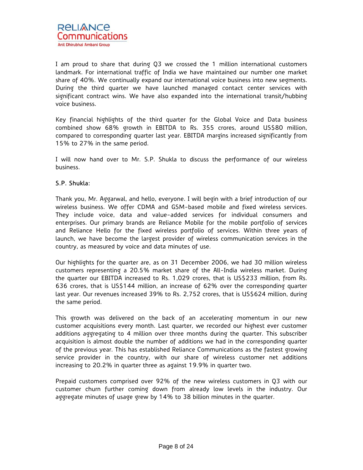I am proud to share that during Q3 we crossed the 1 million international customers landmark. For international traffic of India we have maintained our number one market share of 40%. We continually expand our international voice business into new segments. During the third quarter we have launched managed contact center services with significant contract wins. We have also expanded into the international transit/hubbing voice business.

Key financial highlights of the third quarter for the Global Voice and Data business combined show 68% growth in EBITDA to Rs. 355 crores, around US\$80 million, compared to corresponding quarter last year. EBITDA margins increased significantly from 15% to 27% in the same period.

I will now hand over to Mr. S.P. Shukla to discuss the performance of our wireless business.

# S.P. Shukla:

Thank you, Mr. Aggarwal, and hello, everyone. I will begin with a brief introduction of our wireless business. We offer CDMA and GSM-based mobile and fixed wireless services. They include voice, data and value-added services for individual consumers and enterprises. Our primary brands are Reliance Mobile for the mobile portfolio of services and Reliance Hello for the fixed wireless portfolio of services. Within three years of launch, we have become the largest provider of wireless communication services in the country, as measured by voice and data minutes of use.

Our highlights for the quarter are, as on 31 December 2006, we had 30 million wireless customers representing a 20.5% market share of the All-India wireless market. During the quarter our EBITDA increased to Rs. 1,029 crores, that is US\$233 million, from Rs. 636 crores, that is US\$144 million, an increase of 62% over the corresponding quarter last year. Our revenues increased 39% to Rs. 2,752 crores, that is US\$624 million, during the same period.

This growth was delivered on the back of an accelerating momentum in our new customer acquisitions every month. Last quarter, we recorded our highest ever customer additions aggregating to 4 million over three months during the quarter. This subscriber acquisition is almost double the number of additions we had in the corresponding quarter of the previous year. This has established Reliance Communications as the fastest growing service provider in the country, with our share of wireless customer net additions increasing to 20.2% in quarter three as against 19.9% in quarter two.

Prepaid customers comprised over 92% of the new wireless customers in Q3 with our customer churn further coming down from already low levels in the industry. Our aggregate minutes of usage grew by 14% to 38 billion minutes in the quarter.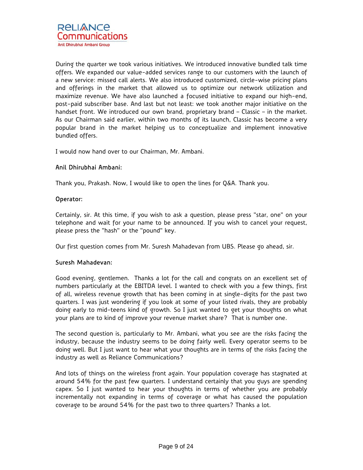During the quarter we took various initiatives. We introduced innovative bundled talk time offers. We expanded our value-added services range to our customers with the launch of a new service: missed call alerts. We also introduced customized, circle-wise pricing plans and offerings in the market that allowed us to optimize our network utilization and maximize revenue. We have also launched a focused initiative to expand our high-end, post-paid subscriber base. And last but not least: we took another major initiative on the handset front. We introduced our own brand, proprietary brand – Classic – in the market. As our Chairman said earlier, within two months of its launch, Classic has become a very popular brand in the market helping us to conceptualize and implement innovative bundled offers.

I would now hand over to our Chairman, Mr. Ambani.

# Anil Dhirubhai Ambani:

Thank you, Prakash. Now, I would like to open the lines for Q&A. Thank you.

### Operator:

Certainly, sir. At this time, if you wish to ask a question, please press "star, one" on your telephone and wait for your name to be announced. If you wish to cancel your request, please press the "hash" or the "pound" key.

Our first question comes from Mr. Suresh Mahadevan from UBS. Please go ahead, sir.

### Suresh Mahadevan:

Good evening, gentlemen. Thanks a lot for the call and congrats on an excellent set of numbers particularly at the EBITDA level. I wanted to check with you a few things, first of all, wireless revenue growth that has been coming in at single-digits for the past two quarters. I was just wondering if you look at some of your listed rivals, they are probably doing early to mid-teens kind of growth. So I just wanted to get your thoughts on what your plans are to kind of improve your revenue market share? That is number one.

The second question is, particularly to Mr. Ambani, what you see are the risks facing the industry, because the industry seems to be doing fairly well. Every operator seems to be doing well. But I just want to hear what your thoughts are in terms of the risks facing the industry as well as Reliance Communications?

And lots of things on the wireless front again. Your population coverage has stagnated at around 54% for the past few quarters. I understand certainly that you guys are spending capex. So I just wanted to hear your thoughts in terms of whether you are probably incrementally not expanding in terms of coverage or what has caused the population coverage to be around 54% for the past two to three quarters? Thanks a lot.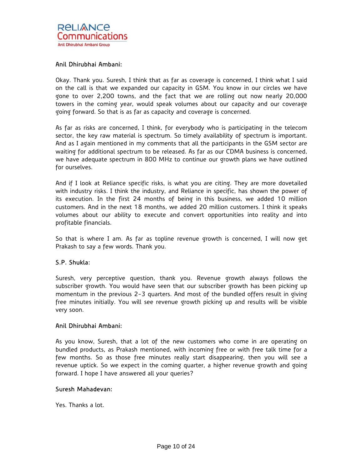Okay. Thank you. Suresh, I think that as far as coverage is concerned, I think what I said on the call is that we expanded our capacity in GSM. You know in our circles we have gone to over 2,200 towns, and the fact that we are rolling out now nearly 20,000 towers in the coming year, would speak volumes about our capacity and our coverage going forward. So that is as far as capacity and coverage is concerned.

As far as risks are concerned, I think, for everybody who is participating in the telecom sector, the key raw material is spectrum. So timely availability of spectrum is important. And as I again mentioned in my comments that all the participants in the GSM sector are waiting for additional spectrum to be released. As far as our CDMA business is concerned, we have adequate spectrum in 800 MHz to continue our growth plans we have outlined for ourselves.

And if I look at Reliance specific risks, is what you are citing. They are more dovetailed with industry risks. I think the industry, and Reliance in specific, has shown the power of its execution. In the first 24 months of being in this business, we added 10 million customers. And in the next 18 months, we added 20 million customers. I think it speaks volumes about our ability to execute and convert opportunities into reality and into profitable financials.

So that is where I am. As far as topline revenue growth is concerned, I will now get Prakash to say a few words. Thank you.

### S.P. Shukla:

Suresh, very perceptive question, thank you. Revenue growth always follows the subscriber growth. You would have seen that our subscriber growth has been picking up momentum in the previous 2-3 quarters. And most of the bundled offers result in giving free minutes initially. You will see revenue growth picking up and results will be visible very soon.

### Anil Dhirubhai Ambani:

As you know, Suresh, that a lot of the new customers who come in are operating on bundled products, as Prakash mentioned, with incoming free or with free talk time for a few months. So as those free minutes really start disappearing, then you will see a revenue uptick. So we expect in the coming quarter, a higher revenue growth and going forward. I hope I have answered all your queries?

### Suresh Mahadevan:

Yes. Thanks a lot.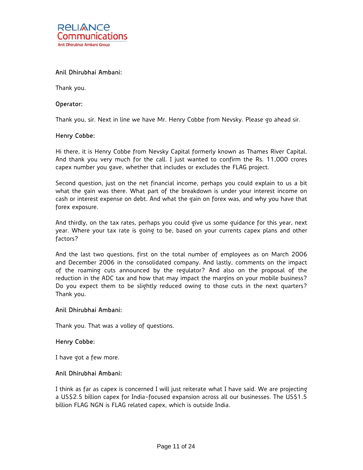

Thank you.

### Operator:

Thank you, sir. Next in line we have Mr. Henry Cobbe from Nevsky. Please go ahead sir.

### Henry Cobbe:

Hi there, it is Henry Cobbe from Nevsky Capital formerly known as Thames River Capital. And thank you very much for the call. I just wanted to confirm the Rs. 11,000 crores capex number you gave, whether that includes or excludes the FLAG project.

Second question, just on the net financial income, perhaps you could explain to us a bit what the gain was there. What part of the breakdown is under your interest income on cash or interest expense on debt. And what the gain on forex was, and why you have that forex exposure.

And thirdly, on the tax rates, perhaps you could give us some guidance for this year, next year. Where your tax rate is going to be, based on your currents capex plans and other factors?

And the last two questions, first on the total number of employees as on March 2006 and December 2006 in the consolidated company. And lastly, comments on the impact of the roaming cuts announced by the regulator? And also on the proposal of the reduction in the ADC tax and how that may impact the margins on your mobile business? Do you expect them to be slightly reduced owing to those cuts in the next quarters? Thank you.

### Anil Dhirubhai Ambani:

Thank you. That was a volley of questions.

### Henry Cobbe:

I have got a few more.

### Anil Dhirubhai Ambani:

I think as far as capex is concerned I will just reiterate what I have said. We are projecting a US\$2.5 billion capex for India-focused expansion across all our businesses. The US\$1.5 billion FLAG NGN is FLAG related capex, which is outside India.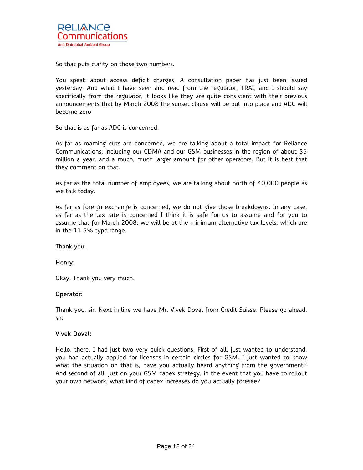So that puts clarity on those two numbers.

You speak about access deficit charges. A consultation paper has just been issued yesterday. And what I have seen and read from the regulator, TRAI, and I should say specifically from the regulator, it looks like they are quite consistent with their previous announcements that by March 2008 the sunset clause will be put into place and ADC will become zero.

So that is as far as ADC is concerned.

As far as roaming cuts are concerned, we are talking about a total impact for Reliance Communications, including our CDMA and our GSM businesses in the region of about \$5 million a year, and a much, much larger amount for other operators. But it is best that they comment on that.

As far as the total number of employees, we are talking about north of 40,000 people as we talk today.

As far as foreign exchange is concerned, we do not give those breakdowns. In any case, as far as the tax rate is concerned I think it is safe for us to assume and for you to assume that for March 2008, we will be at the minimum alternative tax levels, which are in the 11.5% type range.

Thank you.

### Henry:

Okay. Thank you very much.

### Operator:

Thank you, sir. Next in line we have Mr. Vivek Doval from Credit Suisse. Please go ahead, sir.

#### Vivek Doval:

Hello, there. I had just two very quick questions. First of all, just wanted to understand, you had actually applied for licenses in certain circles for GSM. I just wanted to know what the situation on that is, have you actually heard anything from the government? And second of all, just on your GSM capex strategy, in the event that you have to rollout your own network, what kind of capex increases do you actually foresee?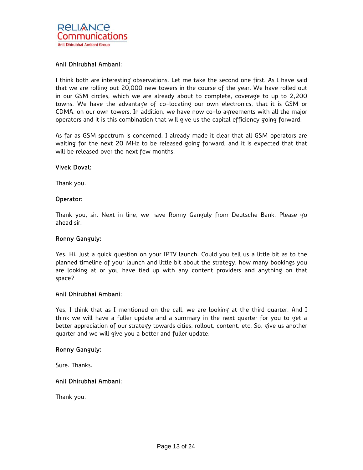I think both are interesting observations. Let me take the second one first. As I have said that we are rolling out 20,000 new towers in the course of the year. We have rolled out in our GSM circles, which we are already about to complete, coverage to up to 2,200 towns. We have the advantage of co-locating our own electronics, that it is GSM or CDMA, on our own towers. In addition, we have now co-lo agreements with all the major operators and it is this combination that will give us the capital efficiency going forward.

As far as GSM spectrum is concerned, I already made it clear that all GSM operators are waiting for the next 20 MHz to be released going forward, and it is expected that that will be released over the next few months.

#### Vivek Doval:

Thank you.

#### Operator:

Thank you, sir. Next in line, we have Ronny Ganguly from Deutsche Bank. Please go ahead sir.

### Ronny Ganguly:

Yes. Hi. Just a quick question on your IPTV launch. Could you tell us a little bit as to the planned timeline of your launch and little bit about the strategy, how many bookings you are looking at or you have tied up with any content providers and anything on that space?

### Anil Dhirubhai Ambani:

Yes, I think that as I mentioned on the call, we are looking at the third quarter. And I think we will have a fuller update and a summary in the next quarter for you to get a better appreciation of our strategy towards cities, rollout, content, etc. So, give us another quarter and we will give you a better and fuller update.

### Ronny Ganguly:

Sure. Thanks.

### Anil Dhirubhai Ambani:

Thank you.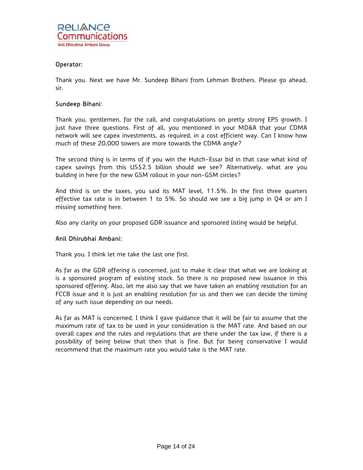

Thank you. Next we have Mr. Sundeep Bihani from Lehman Brothers. Please go ahead, sir.

### Sundeep Bihani:

Thank you, gentlemen, for the call, and congratulations on pretty strong EPS growth. I just have three questions. First of all, you mentioned in your MD&A that your CDMA network will see capex investments, as required, in a cost efficient way. Can I know how much of these 20,000 towers are more towards the CDMA angle?

The second thing is in terms of if you win the Hutch-Essar bid in that case what kind of capex savings from this US\$2.5 billion should we see? Alternatively, what are you building in here for the new GSM rollout in your non-GSM circles?

And third is on the taxes, you said its MAT level, 11.5%. In the first three quarters effective tax rate is in between 1 to 5%. So should we see a big jump in Q4 or am I missing something here.

Also any clarity on your proposed GDR issuance and sponsored listing would be helpful.

### Anil Dhirubhai Ambani:

Thank you. I think let me take the last one first.

As far as the GDR offering is concerned, just to make it clear that what we are looking at is a sponsored program of existing stock. So there is no proposed new issuance in this sponsored offering. Also, let me also say that we have taken an enabling resolution for an FCCB issue and it is just an enabling resolution for us and then we can decide the timing of any such issue depending on our needs.

As far as MAT is concerned, I think I gave guidance that it will be fair to assume that the maximum rate of tax to be used in your consideration is the MAT rate. And based on our overall capex and the rules and regulations that are there under the tax law, if there is a possibility of being below that then that is fine. But for being conservative I would recommend that the maximum rate you would take is the MAT rate.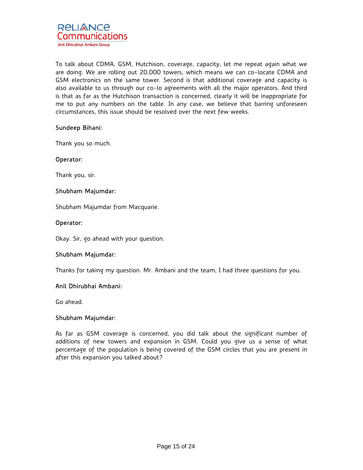

To talk about CDMA, GSM, Hutchison, coverage, capacity, let me repeat again what we are doing. We are rolling out 20,000 towers, which means we can co-locate CDMA and GSM electronics on the same tower. Second is that additional coverage and capacity is also available to us through our co-lo agreements with all the major operators. And third is that as far as the Hutchison transaction is concerned, clearly it will be inappropriate for me to put any numbers on the table. In any case, we believe that barring unforeseen circumstances, this issue should be resolved over the next few weeks.

# Sundeep Bihani:

Thank you so much.

#### Operator:

Thank you, sir.

### Shubham Majumdar:

Shubham Majumdar from Macquarie.

#### Operator:

Okay. Sir, go ahead with your question.

### Shubham Majumdar:

Thanks for taking my question. Mr. Ambani and the team, I had three questions for you.

### Anil Dhirubhai Ambani:

Go ahead.

### Shubham Majumdar:

As far as GSM coverage is concerned, you did talk about the significant number of additions of new towers and expansion in GSM. Could you give us a sense of what percentage of the population is being covered of the GSM circles that you are present in after this expansion you talked about?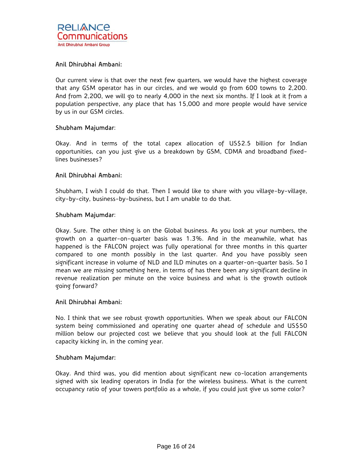Our current view is that over the next few quarters, we would have the highest coverage that any GSM operator has in our circles, and we would go from 600 towns to 2,200. And from 2,200, we will go to nearly 4,000 in the next six months. If I look at it from a population perspective, any place that has 15,000 and more people would have service by us in our GSM circles.

### Shubham Majumdar:

Okay. And in terms of the total capex allocation of US\$2.5 billion for Indian opportunities, can you just give us a breakdown by GSM, CDMA and broadband fixedlines businesses?

# Anil Dhirubhai Ambani:

Shubham, I wish I could do that. Then I would like to share with you village-by-village, city-by-city, business-by-business, but I am unable to do that.

### Shubham Majumdar:

Okay. Sure. The other thing is on the Global business. As you look at your numbers, the growth on a quarter-on-quarter basis was 1.3%. And in the meanwhile, what has happened is the FALCON project was fully operational for three months in this quarter compared to one month possibly in the last quarter. And you have possibly seen significant increase in volume of NLD and ILD minutes on a quarter-on-quarter basis. So I mean we are missing something here, in terms of has there been any significant decline in revenue realization per minute on the voice business and what is the growth outlook going forward?

### Anil Dhirubhai Ambani:

No. I think that we see robust growth opportunities. When we speak about our FALCON system being commissioned and operating one quarter ahead of schedule and US\$50 million below our projected cost we believe that you should look at the full FALCON capacity kicking in, in the coming year.

### Shubham Majumdar:

Okay. And third was, you did mention about significant new co-location arrangements signed with six leading operators in India for the wireless business. What is the current occupancy ratio of your towers portfolio as a whole, if you could just give us some color?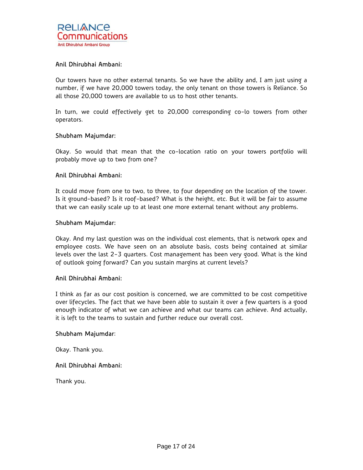Our towers have no other external tenants. So we have the ability and, I am just using a number, if we have 20,000 towers today, the only tenant on those towers is Reliance. So all those 20,000 towers are available to us to host other tenants.

In turn, we could effectively get to 20,000 corresponding co-lo towers from other operators.

### Shubham Majumdar:

Okay. So would that mean that the co-location ratio on your towers portfolio will probably move up to two from one?

#### Anil Dhirubhai Ambani:

It could move from one to two, to three, to four depending on the location of the tower. Is it ground-based? Is it roof-based? What is the height, etc. But it will be fair to assume that we can easily scale up to at least one more external tenant without any problems.

#### Shubham Majumdar:

Okay. And my last question was on the individual cost elements, that is network opex and employee costs. We have seen on an absolute basis, costs being contained at similar levels over the last 2-3 quarters. Cost management has been very good. What is the kind of outlook going forward? Can you sustain margins at current levels?

# Anil Dhirubhai Ambani:

I think as far as our cost position is concerned, we are committed to be cost competitive over lifecycles. The fact that we have been able to sustain it over a few quarters is a good enough indicator of what we can achieve and what our teams can achieve. And actually, it is left to the teams to sustain and further reduce our overall cost.

#### Shubham Majumdar:

Okay. Thank you.

### Anil Dhirubhai Ambani:

Thank you.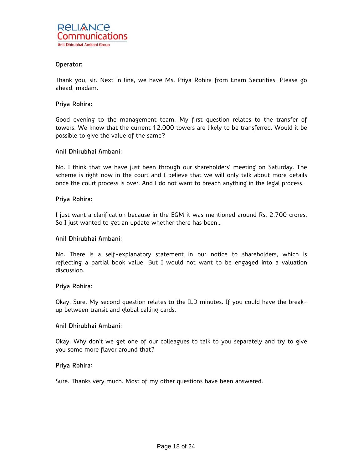

Thank you, sir. Next in line, we have Ms. Priya Rohira from Enam Securities. Please go ahead, madam.

# Priya Rohira:

Good evening to the management team. My first question relates to the transfer of towers. We know that the current 12,000 towers are likely to be transferred. Would it be possible to give the value of the same?

### Anil Dhirubhai Ambani:

No. I think that we have just been through our shareholders' meeting on Saturday. The scheme is right now in the court and I believe that we will only talk about more details once the court process is over. And I do not want to breach anything in the legal process.

### Priya Rohira:

I just want a clarification because in the EGM it was mentioned around Rs. 2,700 crores. So I just wanted to get an update whether there has been…

### Anil Dhirubhai Ambani:

No. There is a self-explanatory statement in our notice to shareholders, which is reflecting a partial book value. But I would not want to be engaged into a valuation discussion.

### Priya Rohira:

Okay. Sure. My second question relates to the ILD minutes. If you could have the breakup between transit and global calling cards.

#### Anil Dhirubhai Ambani:

Okay. Why don't we get one of our colleagues to talk to you separately and try to give you some more flavor around that?

### Priya Rohira:

Sure. Thanks very much. Most of my other questions have been answered.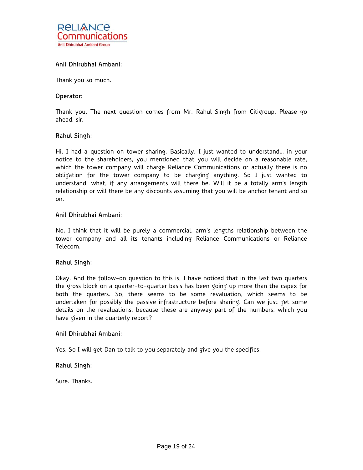

Thank you so much.

#### Operator:

Thank you. The next question comes from Mr. Rahul Singh from Citigroup. Please go ahead, sir.

### Rahul Singh:

Hi, I had a question on tower sharing. Basically, I just wanted to understand… in your notice to the shareholders, you mentioned that you will decide on a reasonable rate, which the tower company will charge Reliance Communications or actually there is no obligation for the tower company to be charging anything. So I just wanted to understand, what, if any arrangements will there be. Will it be a totally arm's length relationship or will there be any discounts assuming that you will be anchor tenant and so on.

#### Anil Dhirubhai Ambani:

No. I think that it will be purely a commercial, arm's lengths relationship between the tower company and all its tenants including Reliance Communications or Reliance Telecom.

### Rahul Singh:

Okay. And the follow-on question to this is, I have noticed that in the last two quarters the gross block on a quarter-to-quarter basis has been going up more than the capex for both the quarters. So, there seems to be some revaluation, which seems to be undertaken for possibly the passive infrastructure before sharing. Can we just get some details on the revaluations, because these are anyway part of the numbers, which you have given in the quarterly report?

#### Anil Dhirubhai Ambani:

Yes. So I will get Dan to talk to you separately and give you the specifics.

### Rahul Singh:

Sure. Thanks.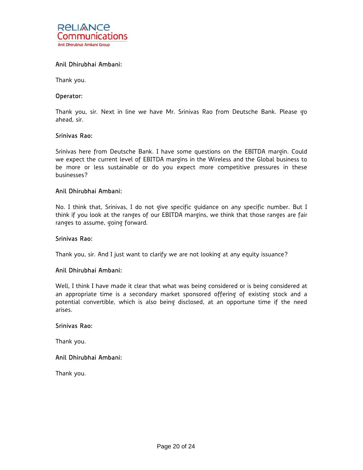

Thank you.

#### Operator:

Thank you, sir. Next in line we have Mr. Srinivas Rao from Deutsche Bank. Please go ahead, sir.

### Srinivas Rao:

Srinivas here from Deutsche Bank. I have some questions on the EBITDA margin. Could we expect the current level of EBITDA margins in the Wireless and the Global business to be more or less sustainable or do you expect more competitive pressures in these businesses?

### Anil Dhirubhai Ambani:

No. I think that, Srinivas, I do not give specific guidance on any specific number. But I think if you look at the ranges of our EBITDA margins, we think that those ranges are fair ranges to assume, going forward.

#### Srinivas Rao:

Thank you, sir. And I just want to clarify we are not looking at any equity issuance?

### Anil Dhirubhai Ambani:

Well, I think I have made it clear that what was being considered or is being considered at an appropriate time is a secondary market sponsored offering of existing stock and a potential convertible, which is also being disclosed, at an opportune time if the need arises.

#### Srinivas Rao:

Thank you.

#### Anil Dhirubhai Ambani:

Thank you.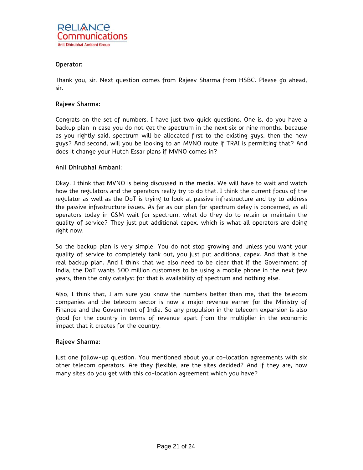

Thank you, sir. Next question comes from Rajeev Sharma from HSBC. Please go ahead, sir.

# Rajeev Sharma:

Congrats on the set of numbers. I have just two quick questions. One is, do you have a backup plan in case you do not get the spectrum in the next six or nine months, because as you rightly said, spectrum will be allocated first to the existing guys, then the new guys? And second, will you be looking to an MVNO route if TRAI is permitting that? And does it change your Hutch Essar plans if MVNO comes in?

### Anil Dhirubhai Ambani:

Okay. I think that MVNO is being discussed in the media. We will have to wait and watch how the regulators and the operators really try to do that. I think the current focus of the regulator as well as the DoT is trying to look at passive infrastructure and try to address the passive infrastructure issues. As far as our plan for spectrum delay is concerned, as all operators today in GSM wait for spectrum, what do they do to retain or maintain the quality of service? They just put additional capex, which is what all operators are doing right now.

So the backup plan is very simple. You do not stop growing and unless you want your quality of service to completely tank out, you just put additional capex. And that is the real backup plan. And I think that we also need to be clear that if the Government of India, the DoT wants 500 million customers to be using a mobile phone in the next few years, then the only catalyst for that is availability of spectrum and nothing else.

Also, I think that, I am sure you know the numbers better than me, that the telecom companies and the telecom sector is now a major revenue earner for the Ministry of Finance and the Government of India. So any propulsion in the telecom expansion is also good for the country in terms of revenue apart from the multiplier in the economic impact that it creates for the country.

### Rajeev Sharma:

Just one follow-up question. You mentioned about your co-location agreements with six other telecom operators. Are they flexible, are the sites decided? And if they are, how many sites do you get with this co-location agreement which you have?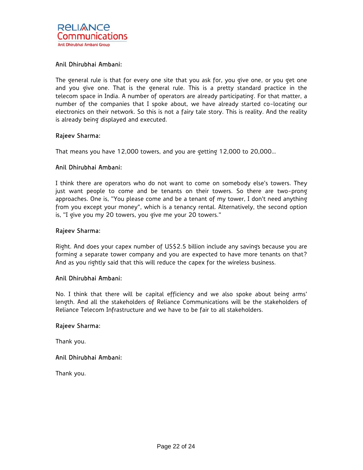The general rule is that for every one site that you ask for, you give one, or you get one and you give one. That is the general rule. This is a pretty standard practice in the telecom space in India. A number of operators are already participating. For that matter, a number of the companies that I spoke about, we have already started co-locating our electronics on their network. So this is not a fairy tale story. This is reality. And the reality is already being displayed and executed.

# Rajeev Sharma:

That means you have 12,000 towers, and you are getting 12,000 to 20,000…

### Anil Dhirubhai Ambani:

I think there are operators who do not want to come on somebody else's towers. They just want people to come and be tenants on their towers. So there are two-prong approaches. One is, "You please come and be a tenant of my tower, I don't need anything from you except your money", which is a tenancy rental. Alternatively, the second option is, "I give you my 20 towers, you give me your 20 towers."

### Rajeev Sharma:

Right. And does your capex number of US\$2.5 billion include any savings because you are forming a separate tower company and you are expected to have more tenants on that? And as you rightly said that this will reduce the capex for the wireless business.

### Anil Dhirubhai Ambani:

No. I think that there will be capital efficiency and we also spoke about being arms' length. And all the stakeholders of Reliance Communications will be the stakeholders of Reliance Telecom Infrastructure and we have to be fair to all stakeholders.

### Rajeev Sharma:

Thank you.

### Anil Dhirubhai Ambani:

Thank you.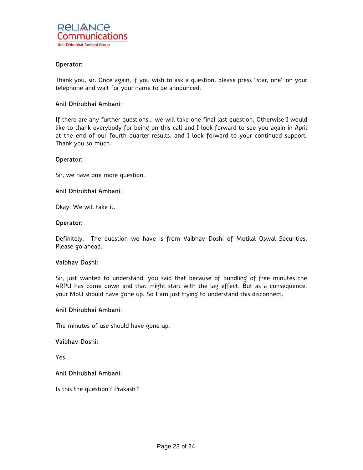Thank you, sir. Once again, if you wish to ask a question, please press "star, one" on your telephone and wait for your name to be announced.

### Anil Dhirubhai Ambani:

If there are any further questions… we will take one final last question. Otherwise I would like to thank everybody for being on this call and I look forward to see you again in April at the end of our fourth quarter results, and I look forward to your continued support. Thank you so much.

#### Operator:

Sir, we have one more question.

### Anil Dhirubhai Ambani:

Okay. We will take it.

#### Operator:

Definitely. The question we have is from Vaibhav Doshi of Motilal Oswal Securities. Please go ahead.

### Vaibhav Doshi:

Sir, just wanted to understand, you said that because of bundling of free minutes the ARPU has come down and that might start with the lag effect. But as a consequence, your MoU should have gone up. So I am just trying to understand this disconnect.

### Anil Dhirubhai Ambani:

The minutes of use should have gone up.

### Vaibhav Doshi:

Yes.

### Anil Dhirubhai Ambani:

Is this the question? Prakash?